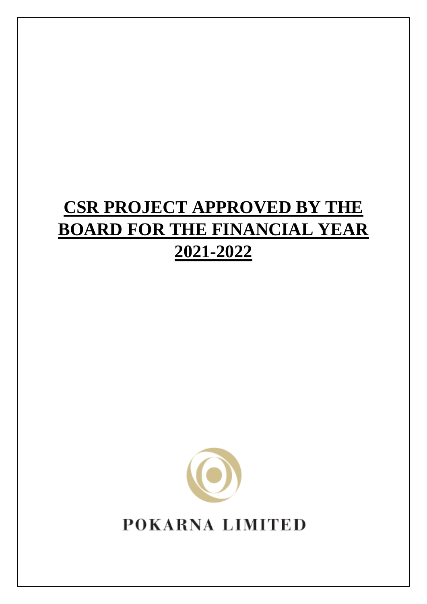## **CSR PROJECT APPROVED BY THE BOARD FOR THE FINANCIAL YEAR 2021-2022**



**POKARNA LIMITED**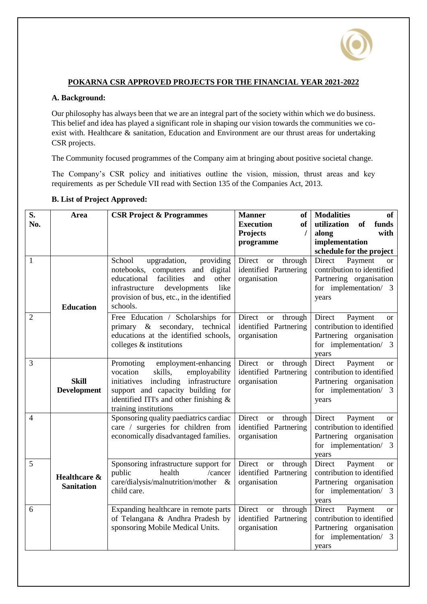

## **POKARNA CSR APPROVED PROJECTS FOR THE FINANCIAL YEAR 2021-2022**

## **A. Background:**

Our philosophy has always been that we are an integral part of the society within which we do business. This belief and idea has played a significant role in shaping our vision towards the communities we coexist with. Healthcare & sanitation, Education and Environment are our thrust areas for undertaking CSR projects.

The Community focused programmes of the Company aim at bringing about positive societal change.

The Company's CSR policy and initiatives outline the vision, mission, thrust areas and key requirements as per Schedule VII read with Section 135 of the Companies Act, 2013.

| S.<br>No.      | Area                               | <b>CSR Project &amp; Programmes</b>                                                                                                                                                                                          | <b>Manner</b><br><b>of</b><br><b>Execution</b><br><b>of</b><br><b>Projects</b><br>$\prime$<br>programme | <b>Modalities</b><br><b>of</b><br>utilization<br>funds<br>of<br>along<br>with<br>implementation<br>schedule for the project   |
|----------------|------------------------------------|------------------------------------------------------------------------------------------------------------------------------------------------------------------------------------------------------------------------------|---------------------------------------------------------------------------------------------------------|-------------------------------------------------------------------------------------------------------------------------------|
| $\mathbf{1}$   | <b>Education</b>                   | School<br>upgradation,<br>providing<br>and digital<br>notebooks, computers<br>facilities<br>educational<br>other<br>and<br>infrastructure<br>developments<br>like<br>provision of bus, etc., in the identified<br>schools.   | Direct<br>through<br><sub>or</sub><br>identified Partnering<br>organisation                             | Payment<br>Direct<br><b>or</b><br>contribution to identified<br>Partnering organisation<br>for implementation/ 3<br>years     |
| $\overline{2}$ |                                    | Free Education / Scholarships for<br>primary & secondary, technical<br>educations at the identified schools,<br>colleges $\&$ institutions                                                                                   | Direct<br><sub>or</sub><br>through<br>identified Partnering<br>organisation                             | Direct<br>Payment<br><sub>or</sub><br>contribution to identified<br>Partnering organisation<br>for implementation/ 3<br>years |
| $\overline{3}$ | <b>Skill</b><br><b>Development</b> | Promoting<br>employment-enhancing<br>skills,<br>vocation<br>employability<br>initiatives including<br>infrastructure<br>support and capacity building for<br>identified ITI's and other finishing &<br>training institutions | Direct<br>through<br><b>or</b><br>identified Partnering<br>organisation                                 | Direct<br>Payment<br><b>or</b><br>contribution to identified<br>Partnering organisation<br>for implementation/ 3<br>years     |
| $\overline{4}$ |                                    | Sponsoring quality paediatrics cardiac<br>care / surgeries for children from<br>economically disadvantaged families.                                                                                                         | Direct or<br>through<br>identified Partnering<br>organisation                                           | Direct<br>Payment<br><sub>or</sub><br>contribution to identified<br>Partnering organisation<br>for implementation/ 3<br>years |
| 5              | Healthcare &<br><b>Sanitation</b>  | Sponsoring infrastructure support for<br>health<br>public<br>/cancer<br>care/dialysis/malnutrition/mother &<br>child care.                                                                                                   | Direct<br>through<br><b>or</b><br>identified Partnering<br>organisation                                 | Direct<br>Payment<br><b>or</b><br>contribution to identified<br>Partnering organisation<br>for implementation/ 3<br>years     |
| 6              |                                    | Expanding healthcare in remote parts<br>of Telangana & Andhra Pradesh by<br>sponsoring Mobile Medical Units.                                                                                                                 | Direct or<br>through<br>identified Partnering<br>organisation                                           | Direct<br>Payment<br><sub>or</sub><br>contribution to identified<br>Partnering organisation<br>for implementation/ 3<br>vears |

## **B. List of Project Approved:**